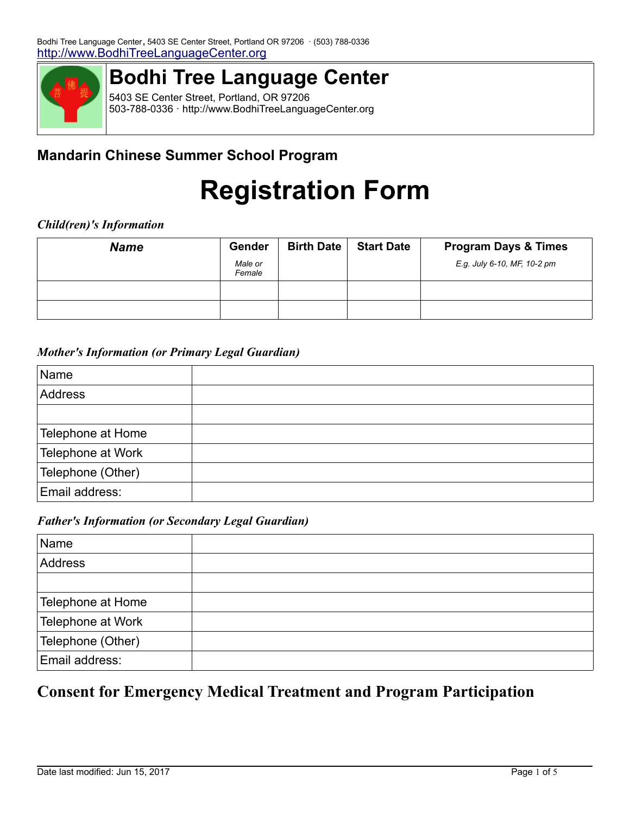

## **Bodhi Tree Language Center**

5403 SE Center Street, Portland, OR 97206 503-788-0336 · http://www.BodhiTreeLanguageCenter.org

## **Mandarin Chinese Summer School Program**

# **Registration Form**

#### *Child(ren)'s Information*

| <b>Name</b> | Gender            | <b>Birth Date</b> | <b>Start Date</b> | <b>Program Days &amp; Times</b> |
|-------------|-------------------|-------------------|-------------------|---------------------------------|
|             | Male or<br>Female |                   |                   | E.g. July 6-10, MF, 10-2 pm     |
|             |                   |                   |                   |                                 |
|             |                   |                   |                   |                                 |

#### *Mother's Information (or Primary Legal Guardian)*

| Name              |  |
|-------------------|--|
| Address           |  |
|                   |  |
| Telephone at Home |  |
| Telephone at Work |  |
| Telephone (Other) |  |
| Email address:    |  |

#### *Father's Information (or Secondary Legal Guardian)*

| Name              |  |
|-------------------|--|
| Address           |  |
|                   |  |
| Telephone at Home |  |
| Telephone at Work |  |
| Telephone (Other) |  |
| Email address:    |  |

## **Consent for Emergency Medical Treatment and Program Participation**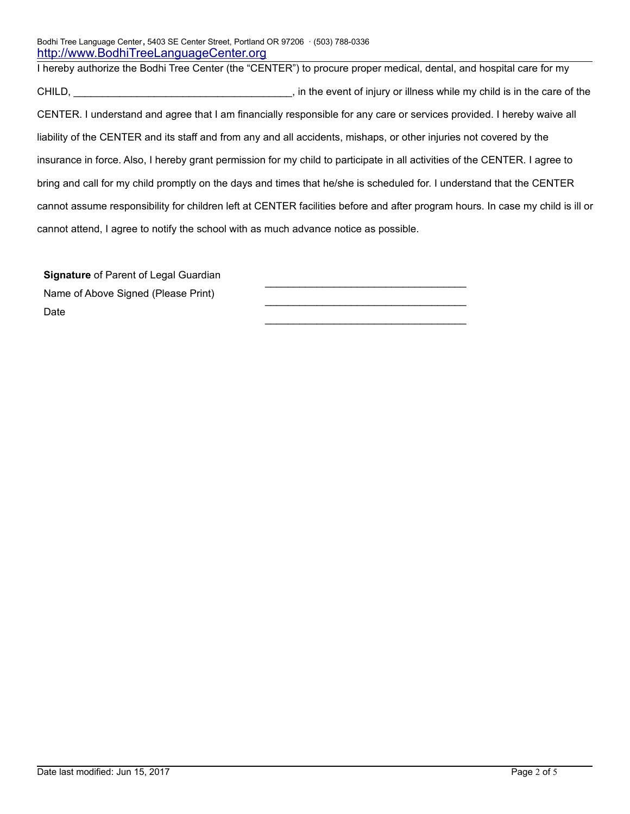I hereby authorize the Bodhi Tree Center (the "CENTER") to procure proper medical, dental, and hospital care for my CHILD, CHILD, **EXECUTE:** in the event of injury or illness while my child is in the care of the CENTER. I understand and agree that I am financially responsible for any care or services provided. I hereby waive all liability of the CENTER and its staff and from any and all accidents, mishaps, or other injuries not covered by the insurance in force. Also, I hereby grant permission for my child to participate in all activities of the CENTER. I agree to bring and call for my child promptly on the days and times that he/she is scheduled for. I understand that the CENTER cannot assume responsibility for children left at CENTER facilities before and after program hours. In case my child is ill or cannot attend, I agree to notify the school with as much advance notice as possible.

 $\mathcal{L}_\text{max}$  , and the set of the set of the set of the set of the set of the set of the set of the set of the set of the set of the set of the set of the set of the set of the set of the set of the set of the set of the

 $\mathcal{L}_\text{max}$  , and the set of the set of the set of the set of the set of the set of the set of the set of the set of the set of the set of the set of the set of the set of the set of the set of the set of the set of the

 $\mathcal{L}_\text{max}$  , and the set of the set of the set of the set of the set of the set of the set of the set of the set of the set of the set of the set of the set of the set of the set of the set of the set of the set of the

**Signature** of Parent of Legal Guardian Name of Above Signed (Please Print) Date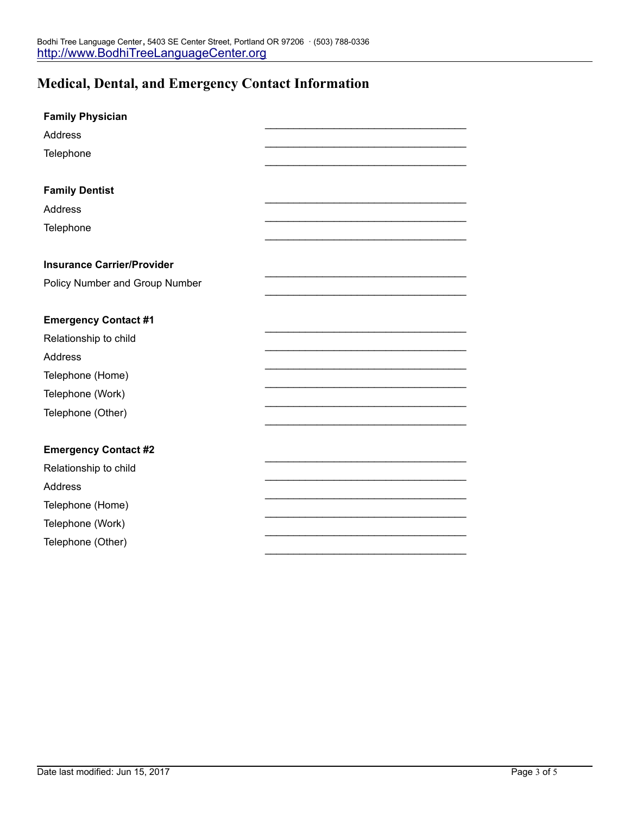## **Medical, Dental, and Emergency Contact Information**

| <b>Family Physician</b>           |  |
|-----------------------------------|--|
| <b>Address</b>                    |  |
| Telephone                         |  |
|                                   |  |
| <b>Family Dentist</b>             |  |
| Address                           |  |
| Telephone                         |  |
|                                   |  |
| <b>Insurance Carrier/Provider</b> |  |
| Policy Number and Group Number    |  |
|                                   |  |
| <b>Emergency Contact #1</b>       |  |
| Relationship to child             |  |
| Address                           |  |
| Telephone (Home)                  |  |
| Telephone (Work)                  |  |
| Telephone (Other)                 |  |
|                                   |  |
| <b>Emergency Contact #2</b>       |  |
| Relationship to child             |  |
| Address                           |  |
| Telephone (Home)                  |  |
| Telephone (Work)                  |  |
| Telephone (Other)                 |  |
|                                   |  |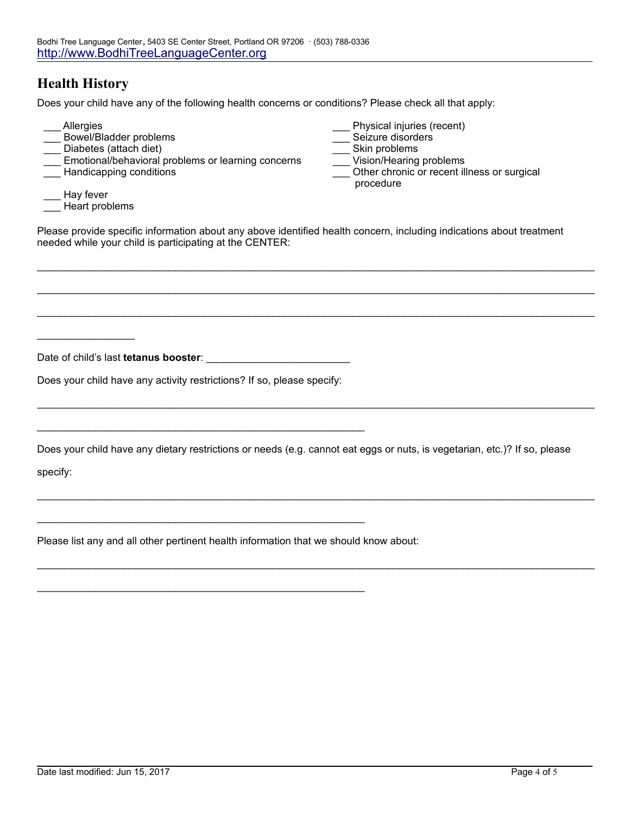## **Health History**

 $\_$ 

Does your child have any of the following health concerns or conditions? Please check all that apply:

| Allergies<br>Bowel/Bladder problems<br>Diabetes (attach diet)<br>Emotional/behavioral problems or learning concerns<br>Handicapping conditions | Physical injuries (recent)<br>Seizure disorders<br>Skin problems<br>Vision/Hearing problems<br>Other chronic or recent illness or surgical<br>procedure |
|------------------------------------------------------------------------------------------------------------------------------------------------|---------------------------------------------------------------------------------------------------------------------------------------------------------|
| Hay fever<br>Heart problems                                                                                                                    |                                                                                                                                                         |

Please provide specific information about any above identified health concern, including indications about treatment needed while your child is participating at the CENTER:

 $\mathcal{L}_\mathcal{L} = \{ \mathcal{L}_\mathcal{L} = \{ \mathcal{L}_\mathcal{L} = \{ \mathcal{L}_\mathcal{L} = \{ \mathcal{L}_\mathcal{L} = \{ \mathcal{L}_\mathcal{L} = \{ \mathcal{L}_\mathcal{L} = \{ \mathcal{L}_\mathcal{L} = \{ \mathcal{L}_\mathcal{L} = \{ \mathcal{L}_\mathcal{L} = \{ \mathcal{L}_\mathcal{L} = \{ \mathcal{L}_\mathcal{L} = \{ \mathcal{L}_\mathcal{L} = \{ \mathcal{L}_\mathcal{L} = \{ \mathcal{L}_\mathcal{$ 

 $\mathcal{L}_\text{max} = \mathcal{L}_\text{max} = \mathcal{L}_\text{max} = \mathcal{L}_\text{max} = \mathcal{L}_\text{max} = \mathcal{L}_\text{max} = \mathcal{L}_\text{max} = \mathcal{L}_\text{max} = \mathcal{L}_\text{max} = \mathcal{L}_\text{max} = \mathcal{L}_\text{max} = \mathcal{L}_\text{max} = \mathcal{L}_\text{max} = \mathcal{L}_\text{max} = \mathcal{L}_\text{max} = \mathcal{L}_\text{max} = \mathcal{L}_\text{max} = \mathcal{L}_\text{max} = \mathcal{$ 

 $\mathcal{L}_\text{max} = \mathcal{L}_\text{max} = \mathcal{L}_\text{max} = \mathcal{L}_\text{max} = \mathcal{L}_\text{max} = \mathcal{L}_\text{max} = \mathcal{L}_\text{max} = \mathcal{L}_\text{max} = \mathcal{L}_\text{max} = \mathcal{L}_\text{max} = \mathcal{L}_\text{max} = \mathcal{L}_\text{max} = \mathcal{L}_\text{max} = \mathcal{L}_\text{max} = \mathcal{L}_\text{max} = \mathcal{L}_\text{max} = \mathcal{L}_\text{max} = \mathcal{L}_\text{max} = \mathcal{$ 

 $\mathcal{L}_\text{max} = \mathcal{L}_\text{max} = \mathcal{L}_\text{max} = \mathcal{L}_\text{max} = \mathcal{L}_\text{max} = \mathcal{L}_\text{max} = \mathcal{L}_\text{max} = \mathcal{L}_\text{max} = \mathcal{L}_\text{max} = \mathcal{L}_\text{max} = \mathcal{L}_\text{max} = \mathcal{L}_\text{max} = \mathcal{L}_\text{max} = \mathcal{L}_\text{max} = \mathcal{L}_\text{max} = \mathcal{L}_\text{max} = \mathcal{L}_\text{max} = \mathcal{L}_\text{max} = \mathcal{$ 

 $\mathcal{L}_\text{max} = \mathcal{L}_\text{max} = \mathcal{L}_\text{max} = \mathcal{L}_\text{max} = \mathcal{L}_\text{max} = \mathcal{L}_\text{max} = \mathcal{L}_\text{max} = \mathcal{L}_\text{max} = \mathcal{L}_\text{max} = \mathcal{L}_\text{max} = \mathcal{L}_\text{max} = \mathcal{L}_\text{max} = \mathcal{L}_\text{max} = \mathcal{L}_\text{max} = \mathcal{L}_\text{max} = \mathcal{L}_\text{max} = \mathcal{L}_\text{max} = \mathcal{L}_\text{max} = \mathcal{$ 

 $\mathcal{L}_\mathcal{L} = \{ \mathcal{L}_\mathcal{L} = \{ \mathcal{L}_\mathcal{L} = \{ \mathcal{L}_\mathcal{L} = \{ \mathcal{L}_\mathcal{L} = \{ \mathcal{L}_\mathcal{L} = \{ \mathcal{L}_\mathcal{L} = \{ \mathcal{L}_\mathcal{L} = \{ \mathcal{L}_\mathcal{L} = \{ \mathcal{L}_\mathcal{L} = \{ \mathcal{L}_\mathcal{L} = \{ \mathcal{L}_\mathcal{L} = \{ \mathcal{L}_\mathcal{L} = \{ \mathcal{L}_\mathcal{L} = \{ \mathcal{L}_\mathcal{$ 

Date of child's last **tetanus booster**:

Does your child have any activity restrictions? If so, please specify:

 $\mathcal{L}_\text{max}$  , and the contract of the contract of the contract of the contract of the contract of the contract of the contract of the contract of the contract of the contract of the contract of the contract of the contr

 $\mathcal{L}_\text{max}$  , and the contract of the contract of the contract of the contract of the contract of the contract of the contract of the contract of the contract of the contract of the contract of the contract of the contr

\_\_\_\_\_\_\_\_\_\_\_\_\_\_\_\_\_\_\_\_\_\_\_\_\_\_\_\_\_\_\_\_\_\_\_\_\_\_\_\_\_\_\_\_\_\_\_\_\_\_\_\_\_\_\_\_\_

Does your child have any dietary restrictions or needs (e.g. cannot eat eggs or nuts, is vegetarian, etc.)? If so, please

specify:

Please list any and all other pertinent health information that we should know about: